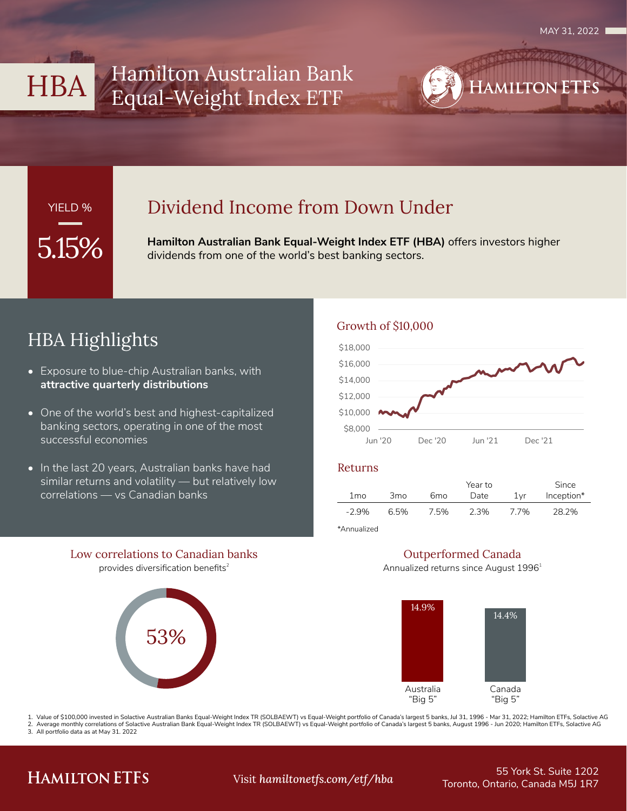**HAMILTON ETF** 



# YIELD %

## Dividend Income from Down Under

**Hamilton Australian Bank Equal-Weight Index ETF (HBA)** offers investors higher dividends from one of the world's best banking sectors.

## HBA Highlights

- Exposure to blue-chip Australian banks, with **attractive quarterly distributions**
- One of the world's best and highest-capitalized banking sectors, operating in one of the most successful economies
- In the last 20 years, Australian banks have had similar returns and volatility — but relatively low correlations — vs Canadian banks

### Growth of \$10,000



#### Returns

|                        |      | Year to |      | Since          |            |
|------------------------|------|---------|------|----------------|------------|
| 1 mo                   | 3mo  | 6mo     | Date | $1\mathsf{vr}$ | Inception* |
| $-2.9%$                | 6.5% | 7.5%    | 2.3% | 7.7%           | 28.2%      |
| herileunn <sup>*</sup> |      |         |      |                |            |

Low correlations to Canadian banks provides diversification benefits $2$ 



#### Outperformed Canada

Annualized returns since August 1996<sup>1</sup>



1. Value of \$100,000 invested in Solactive Australian Banks Equal-Weight Index TR (SOLBAEWT) vs Equal-Weight portfolio of Canada's largest 5 banks, Jul 31, 1996 - Mar 31, 2022; Hamilton ETFs, Solactive AG 2. Average monthly correlations of Solactive Australian Bank Equal-Weight Index TR (SOLBAEWT) vs Equal-Weight portfolio of Canada's largest 5 banks, August 1996 - Jun 2020; Hamilton ETFs, Solactive AG

3. All portfolio data as at May 31, 2022

## **HAMILTON ETFS**

## Toronto, Ontario, Canada M5J 1R7 Visit *hamiltonetfs.com/etf/hba*

55 York St. Suite 1202